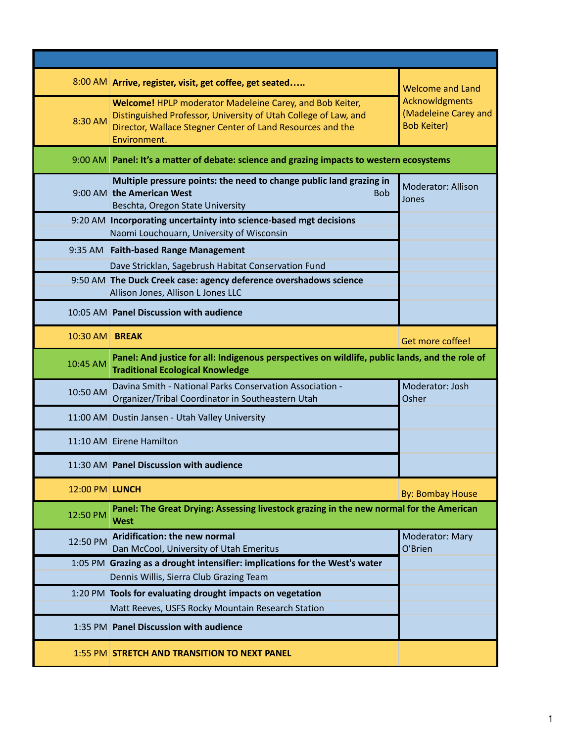|                | 8:00 AM Arrive, register, visit, get coffee, get seated                                                                                                                                                   | <b>Welcome and Land</b>                                      |
|----------------|-----------------------------------------------------------------------------------------------------------------------------------------------------------------------------------------------------------|--------------------------------------------------------------|
| 8:30 AM        | Welcome! HPLP moderator Madeleine Carey, and Bob Keiter,<br>Distinguished Professor, University of Utah College of Law, and<br>Director, Wallace Stegner Center of Land Resources and the<br>Environment. | Acknowldgments<br>(Madeleine Carey and<br><b>Bob Keiter)</b> |
|                | 9:00 AM Panel: It's a matter of debate: science and grazing impacts to western ecosystems                                                                                                                 |                                                              |
|                | Multiple pressure points: the need to change public land grazing in<br>9:00 AM the American West<br><b>Bob</b><br>Beschta, Oregon State University                                                        | <b>Moderator: Allison</b><br>Jones                           |
|                | 9:20 AM Incorporating uncertainty into science-based mgt decisions<br>Naomi Louchouarn, University of Wisconsin                                                                                           |                                                              |
|                | 9:35 AM Faith-based Range Management                                                                                                                                                                      |                                                              |
|                | Dave Stricklan, Sagebrush Habitat Conservation Fund                                                                                                                                                       |                                                              |
|                | 9:50 AM The Duck Creek case: agency deference overshadows science<br>Allison Jones, Allison L Jones LLC                                                                                                   |                                                              |
|                | 10:05 AM Panel Discussion with audience                                                                                                                                                                   |                                                              |
| 10:30 AM BREAK |                                                                                                                                                                                                           | Get more coffee!                                             |
| 10:45 AM       | Panel: And justice for all: Indigenous perspectives on wildlife, public lands, and the role of<br><b>Traditional Ecological Knowledge</b>                                                                 |                                                              |
| 10:50 AM       | Davina Smith - National Parks Conservation Association -<br>Organizer/Tribal Coordinator in Southeastern Utah                                                                                             | Moderator: Josh<br>Osher                                     |
|                | 11:00 AM Dustin Jansen - Utah Valley University                                                                                                                                                           |                                                              |
|                | 11:10 AM Eirene Hamilton                                                                                                                                                                                  |                                                              |
|                | 11:30 AM Panel Discussion with audience                                                                                                                                                                   |                                                              |
| 12:00 PM LUNCH |                                                                                                                                                                                                           | <b>By: Bombay House</b>                                      |
| 12:50 PM       | Panel: The Great Drying: Assessing livestock grazing in the new normal for the American<br><b>West</b>                                                                                                    |                                                              |
| 12:50 PM       | Aridification: the new normal<br>Dan McCool, University of Utah Emeritus                                                                                                                                  | Moderator: Mary<br>O'Brien                                   |
|                | 1:05 PM Grazing as a drought intensifier: implications for the West's water                                                                                                                               |                                                              |
|                | Dennis Willis, Sierra Club Grazing Team                                                                                                                                                                   |                                                              |
|                | 1:20 PM Tools for evaluating drought impacts on vegetation<br>Matt Reeves, USFS Rocky Mountain Research Station                                                                                           |                                                              |
|                | 1:35 PM Panel Discussion with audience                                                                                                                                                                    |                                                              |
|                | <b>1:55 PM STRETCH AND TRANSITION TO NEXT PANEL</b>                                                                                                                                                       |                                                              |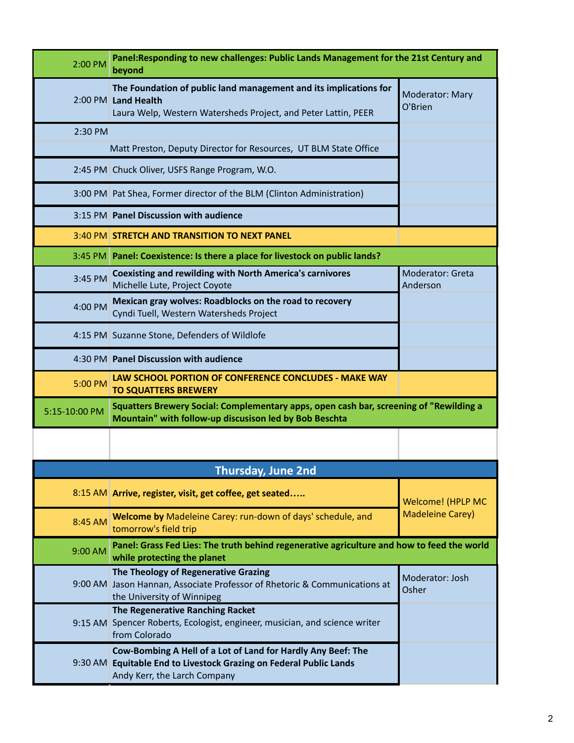| 2:00 PM       | Panel:Responding to new challenges: Public Lands Management for the 21st Century and<br>beyond                                                                     |                              |  |
|---------------|--------------------------------------------------------------------------------------------------------------------------------------------------------------------|------------------------------|--|
|               | The Foundation of public land management and its implications for<br>2:00 PM Land Health<br>Laura Welp, Western Watersheds Project, and Peter Lattin, PEER         | Moderator: Mary<br>O'Brien   |  |
| 2:30 PM       |                                                                                                                                                                    |                              |  |
|               | Matt Preston, Deputy Director for Resources, UT BLM State Office                                                                                                   |                              |  |
|               | 2:45 PM Chuck Oliver, USFS Range Program, W.O.                                                                                                                     |                              |  |
|               | 3:00 PM Pat Shea, Former director of the BLM (Clinton Administration)                                                                                              |                              |  |
|               | 3:15 PM Panel Discussion with audience                                                                                                                             |                              |  |
|               | 3:40 PM STRETCH AND TRANSITION TO NEXT PANEL                                                                                                                       |                              |  |
|               | 3:45 PM   Panel: Coexistence: Is there a place for livestock on public lands?                                                                                      |                              |  |
| 3:45 PM       | <b>Coexisting and rewilding with North America's carnivores</b><br>Michelle Lute, Project Coyote                                                                   | Moderator: Greta<br>Anderson |  |
| 4:00 PM       | Mexican gray wolves: Roadblocks on the road to recovery<br>Cyndi Tuell, Western Watersheds Project                                                                 |                              |  |
|               | 4:15 PM Suzanne Stone, Defenders of Wildlofe                                                                                                                       |                              |  |
|               | 4:30 PM Panel Discussion with audience                                                                                                                             |                              |  |
| 5:00 PM       | LAW SCHOOL PORTION OF CONFERENCE CONCLUDES - MAKE WAY<br><b>TO SQUATTERS BREWERY</b>                                                                               |                              |  |
| 5:15-10:00 PM | Squatters Brewery Social: Complementary apps, open cash bar, screening of "Rewilding a<br>Mountain" with follow-up discusison led by Bob Beschta                   |                              |  |
|               |                                                                                                                                                                    |                              |  |
|               |                                                                                                                                                                    |                              |  |
|               | Thursday, June 2nd                                                                                                                                                 |                              |  |
|               | 8:15 AM Arrive, register, visit, get coffee, get seated                                                                                                            | Welcome! (HPLP MC            |  |
| 8:45 AM       | Welcome by Madeleine Carey: run-down of days' schedule, and<br>tomorrow's field trip                                                                               | <b>Madeleine Carey)</b>      |  |
| 9:00 AM       | Panel: Grass Fed Lies: The truth behind regenerative agriculture and how to feed the world<br>while protecting the planet                                          |                              |  |
|               | The Theology of Regenerative Grazing<br>9:00 AM Jason Hannan, Associate Professor of Rhetoric & Communications at<br>the University of Winnipeg                    | Moderator: Josh<br>Osher     |  |
|               | The Regenerative Ranching Racket<br>9:15 AM Spencer Roberts, Ecologist, engineer, musician, and science writer<br>from Colorado                                    |                              |  |
|               | Cow-Bombing A Hell of a Lot of Land for Hardly Any Beef: The<br>9:30 AM Equitable End to Livestock Grazing on Federal Public Lands<br>Andy Kerr, the Larch Company |                              |  |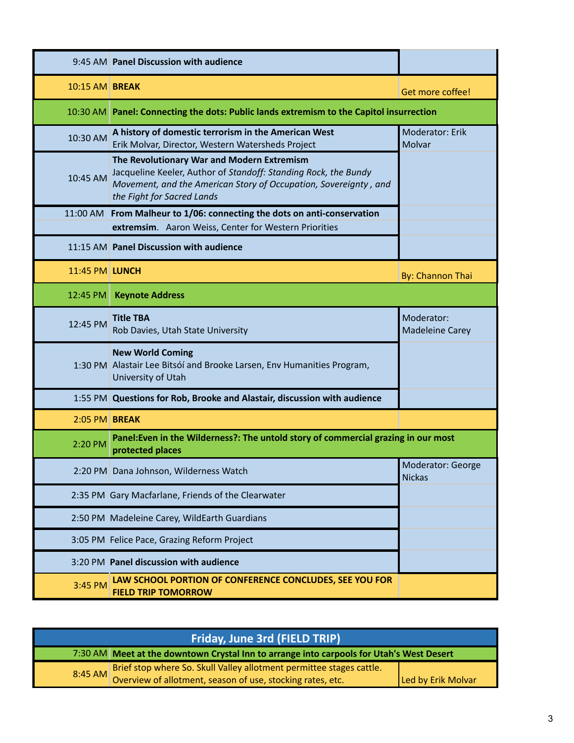|                       | 9:45 AM Panel Discussion with audience                                                                                                                                                                          |                                      |
|-----------------------|-----------------------------------------------------------------------------------------------------------------------------------------------------------------------------------------------------------------|--------------------------------------|
| <b>10:15 AM BREAK</b> |                                                                                                                                                                                                                 | Get more coffee!                     |
|                       | 10:30 AM Panel: Connecting the dots: Public lands extremism to the Capitol insurrection                                                                                                                         |                                      |
| 10:30 AM              | A history of domestic terrorism in the American West<br>Erik Molvar, Director, Western Watersheds Project                                                                                                       | Moderator: Erik<br>Molvar            |
| 10:45 AM              | The Revolutionary War and Modern Extremism<br>Jacqueline Keeler, Author of Standoff: Standing Rock, the Bundy<br>Movement, and the American Story of Occupation, Sovereignty, and<br>the Fight for Sacred Lands |                                      |
| 11:00 AM              | From Malheur to 1/06: connecting the dots on anti-conservation<br>extremsim. Aaron Weiss, Center for Western Priorities                                                                                         |                                      |
|                       | 11:15 AM Panel Discussion with audience                                                                                                                                                                         |                                      |
| 11:45 PM LUNCH        |                                                                                                                                                                                                                 | By: Channon Thai                     |
| 12:45 PM              | <b>Keynote Address</b>                                                                                                                                                                                          |                                      |
| 12:45 PM              | <b>Title TBA</b><br>Rob Davies, Utah State University                                                                                                                                                           | Moderator:<br><b>Madeleine Carey</b> |
|                       | <b>New World Coming</b><br>1:30 PM Alastair Lee Bitsóí and Brooke Larsen, Env Humanities Program,<br>University of Utah                                                                                         |                                      |
|                       | 1:55 PM Questions for Rob, Brooke and Alastair, discussion with audience                                                                                                                                        |                                      |
| 2:05 PM BREAK         |                                                                                                                                                                                                                 |                                      |
| 2:20 PM               | Panel: Even in the Wilderness?: The untold story of commercial grazing in our most<br>protected places                                                                                                          |                                      |
|                       | 2:20 PM Dana Johnson, Wilderness Watch                                                                                                                                                                          | Moderator: George<br><b>Nickas</b>   |
|                       | 2:35 PM Gary Macfarlane, Friends of the Clearwater                                                                                                                                                              |                                      |
|                       | 2:50 PM Madeleine Carey, WildEarth Guardians                                                                                                                                                                    |                                      |
|                       | 3:05 PM Felice Pace, Grazing Reform Project                                                                                                                                                                     |                                      |
|                       | 3:20 PM Panel discussion with audience                                                                                                                                                                          |                                      |
| 3:45 PM               | LAW SCHOOL PORTION OF CONFERENCE CONCLUDES, SEE YOU FOR<br><b>FIELD TRIP TOMORROW</b>                                                                                                                           |                                      |

| Friday, June 3rd (FIELD TRIP) |                                                                                                                                            |                    |  |
|-------------------------------|--------------------------------------------------------------------------------------------------------------------------------------------|--------------------|--|
|                               | 7:30 AM Meet at the downtown Crystal Inn to arrange into carpools for Utah's West Desert                                                   |                    |  |
|                               | Brief stop where So. Skull Valley allotment permittee stages cattle.<br>8:45 AM Overview of allotment, season of use, stocking rates, etc. | Led by Erik Molvar |  |